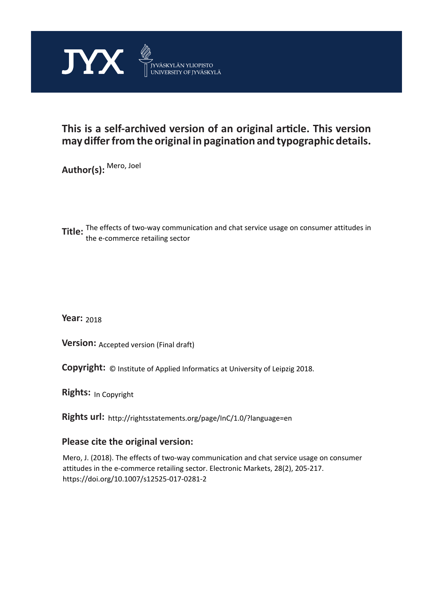

## **This is a self-archived version of an original article. This version may differ from the original in pagination and typographic details.**

**Author(s):**  Mero, Joel

**Title:** The effects of two-way communication and chat service usage on consumer attitudes in the e-commerce retailing sector

**Year:**  2018

**Version: Accepted version (Final draft)** 

**Version:** Accepted version (Final draft)<br>**Copyright:** © Institute of Applied Informatics at University of Leipzig 2018.

**Rights:** In Copyright

**Rights url:**  http://rightsstatements.org/page/InC/1.0/?language=en

### **Please cite the original version:**

Mero, J. (2018). The effects of two-way communication and chat service usage on consumer attitudes in the e-commerce retailing sector. Electronic Markets, 28(2), 205-217. https://doi.org/10.1007/s12525-017-0281-2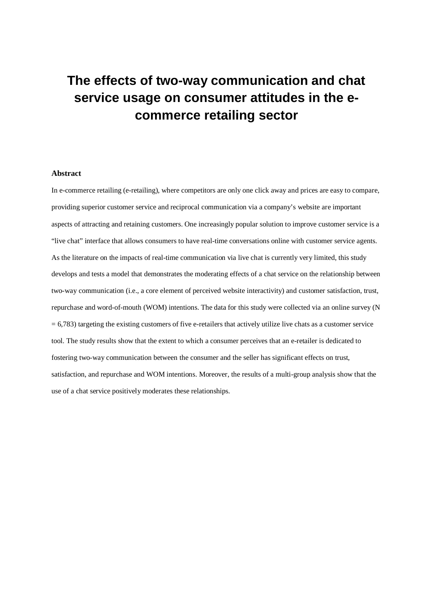# **The effects of two-way communication and chat service usage on consumer attitudes in the ecommerce retailing sector**

#### **Abstract**

In e-commerce retailing (e-retailing), where competitors are only one click away and prices are easy to compare, providing superior customer service and reciprocal communication via a company's website are important aspects of attracting and retaining customers. One increasingly popular solution to improve customer service is a "live chat" interface that allows consumers to have real-time conversations online with customer service agents. As the literature on the impacts of real-time communication via live chat is currently very limited, this study develops and tests a model that demonstrates the moderating effects of a chat service on the relationship between two-way communication (i.e., a core element of perceived website interactivity) and customer satisfaction, trust, repurchase and word-of-mouth (WOM) intentions. The data for this study were collected via an online survey (N  $= 6,783$ ) targeting the existing customers of five e-retailers that actively utilize live chats as a customer service tool. The study results show that the extent to which a consumer perceives that an e-retailer is dedicated to fostering two-way communication between the consumer and the seller has significant effects on trust, satisfaction, and repurchase and WOM intentions. Moreover, the results of a multi-group analysis show that the use of a chat service positively moderates these relationships.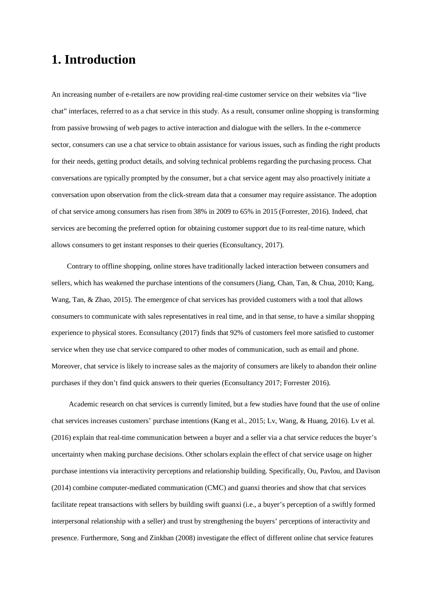## **1. Introduction**

An increasing number of e-retailers are now providing real-time customer service on their websites via "live chat" interfaces, referred to as a chat service in this study. As a result, consumer online shopping is transforming from passive browsing of web pages to active interaction and dialogue with the sellers. In the e-commerce sector, consumers can use a chat service to obtain assistance for various issues, such as finding the right products for their needs, getting product details, and solving technical problems regarding the purchasing process. Chat conversations are typically prompted by the consumer, but a chat service agent may also proactively initiate a conversation upon observation from the click-stream data that a consumer may require assistance. The adoption of chat service among consumers has risen from 38% in 2009 to 65% in 2015 (Forrester, 2016). Indeed, chat services are becoming the preferred option for obtaining customer support due to its real-time nature, which allows consumers to get instant responses to their queries (Econsultancy, 2017).

Contrary to offline shopping, online stores have traditionally lacked interaction between consumers and sellers, which has weakened the purchase intentions of the consumers (Jiang, Chan, Tan, & Chua, 2010; Kang, Wang, Tan, & Zhao, 2015). The emergence of chat services has provided customers with a tool that allows consumers to communicate with sales representatives in real time, and in that sense, to have a similar shopping experience to physical stores. Econsultancy (2017) finds that 92% of customers feel more satisfied to customer service when they use chat service compared to other modes of communication, such as email and phone. Moreover, chat service is likely to increase sales as the majority of consumers are likely to abandon their online purchases if they don't find quick answers to their queries (Econsultancy 2017; Forrester 2016).

 Academic research on chat services is currently limited, but a few studies have found that the use of online chat services increases customers' purchase intentions (Kang et al., 2015; Lv, Wang, & Huang, 2016). Lv et al. (2016) explain that real-time communication between a buyer and a seller via a chat service reduces the buyer's uncertainty when making purchase decisions. Other scholars explain the effect of chat service usage on higher purchase intentions via interactivity perceptions and relationship building. Specifically, Ou, Pavlou, and Davison (2014) combine computer-mediated communication (CMC) and guanxi theories and show that chat services facilitate repeat transactions with sellers by building swift guanxi (i.e., a buyer's perception of a swiftly formed interpersonal relationship with a seller) and trust by strengthening the buyers' perceptions of interactivity and presence. Furthermore, Song and Zinkhan (2008) investigate the effect of different online chat service features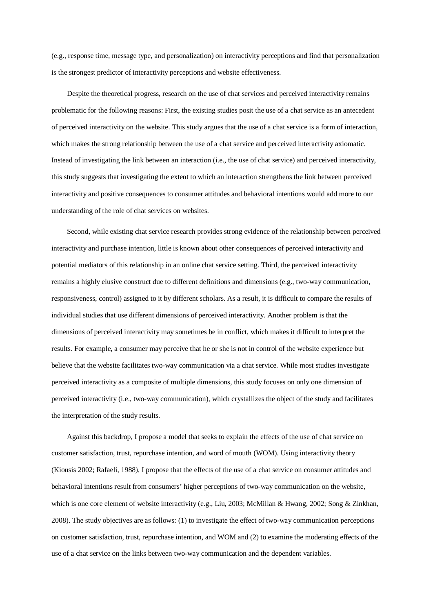(e.g., response time, message type, and personalization) on interactivity perceptions and find that personalization is the strongest predictor of interactivity perceptions and website effectiveness.

Despite the theoretical progress, research on the use of chat services and perceived interactivity remains problematic for the following reasons: First, the existing studies posit the use of a chat service as an antecedent of perceived interactivity on the website. This study argues that the use of a chat service is a form of interaction, which makes the strong relationship between the use of a chat service and perceived interactivity axiomatic. Instead of investigating the link between an interaction (i.e., the use of chat service) and perceived interactivity, this study suggests that investigating the extent to which an interaction strengthens the link between perceived interactivity and positive consequences to consumer attitudes and behavioral intentions would add more to our understanding of the role of chat services on websites.

Second, while existing chat service research provides strong evidence of the relationship between perceived interactivity and purchase intention, little is known about other consequences of perceived interactivity and potential mediators of this relationship in an online chat service setting. Third, the perceived interactivity remains a highly elusive construct due to different definitions and dimensions (e.g., two-way communication, responsiveness, control) assigned to it by different scholars. As a result, it is difficult to compare the results of individual studies that use different dimensions of perceived interactivity. Another problem is that the dimensions of perceived interactivity may sometimes be in conflict, which makes it difficult to interpret the results. For example, a consumer may perceive that he or she is not in control of the website experience but believe that the website facilitates two-way communication via a chat service. While most studies investigate perceived interactivity as a composite of multiple dimensions, this study focuses on only one dimension of perceived interactivity (i.e., two-way communication), which crystallizes the object of the study and facilitates the interpretation of the study results.

 Against this backdrop, I propose a model that seeks to explain the effects of the use of chat service on customer satisfaction, trust, repurchase intention, and word of mouth (WOM). Using interactivity theory (Kiousis 2002; Rafaeli, 1988), I propose that the effects of the use of a chat service on consumer attitudes and behavioral intentions result from consumers' higher perceptions of two-way communication on the website, which is one core element of website interactivity (e.g., Liu, 2003; McMillan & Hwang, 2002; Song & Zinkhan, 2008). The study objectives are as follows: (1) to investigate the effect of two-way communication perceptions on customer satisfaction, trust, repurchase intention, and WOM and (2) to examine the moderating effects of the use of a chat service on the links between two-way communication and the dependent variables.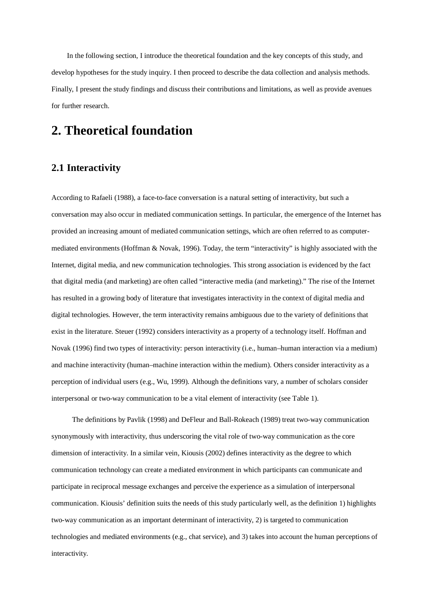In the following section, I introduce the theoretical foundation and the key concepts of this study, and develop hypotheses for the study inquiry. I then proceed to describe the data collection and analysis methods. Finally, I present the study findings and discuss their contributions and limitations, as well as provide avenues for further research.

## **2. Theoretical foundation**

### **2.1 Interactivity**

According to Rafaeli (1988), a face-to-face conversation is a natural setting of interactivity, but such a conversation may also occur in mediated communication settings. In particular, the emergence of the Internet has provided an increasing amount of mediated communication settings, which are often referred to as computermediated environments (Hoffman & Novak, 1996). Today, the term "interactivity" is highly associated with the Internet, digital media, and new communication technologies. This strong association is evidenced by the fact that digital media (and marketing) are often called "interactive media (and marketing)." The rise of the Internet has resulted in a growing body of literature that investigates interactivity in the context of digital media and digital technologies. However, the term interactivity remains ambiguous due to the variety of definitions that exist in the literature. Steuer (1992) considers interactivity as a property of a technology itself. Hoffman and Novak (1996) find two types of interactivity: person interactivity (i.e., human–human interaction via a medium) and machine interactivity (human–machine interaction within the medium). Others consider interactivity as a perception of individual users (e.g., Wu, 1999). Although the definitions vary, a number of scholars consider interpersonal or two-way communication to be a vital element of interactivity (see Table 1).

The definitions by Pavlik (1998) and DeFleur and Ball-Rokeach (1989) treat two-way communication synonymously with interactivity, thus underscoring the vital role of two-way communication as the core dimension of interactivity. In a similar vein, Kiousis (2002) defines interactivity as the degree to which communication technology can create a mediated environment in which participants can communicate and participate in reciprocal message exchanges and perceive the experience as a simulation of interpersonal communication. Kiousis' definition suits the needs of this study particularly well, as the definition 1) highlights two-way communication as an important determinant of interactivity, 2) is targeted to communication technologies and mediated environments (e.g., chat service), and 3) takes into account the human perceptions of interactivity.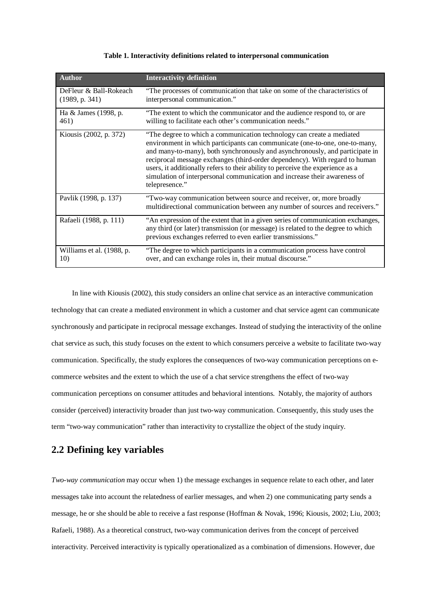#### **Table 1. Interactivity definitions related to interpersonal communication**

| <b>Author</b>                            | <b>Interactivity definition</b>                                                                                                                                                                                                                                                                                                                                                                                                                                                                      |
|------------------------------------------|------------------------------------------------------------------------------------------------------------------------------------------------------------------------------------------------------------------------------------------------------------------------------------------------------------------------------------------------------------------------------------------------------------------------------------------------------------------------------------------------------|
| DeFleur & Ball-Rokeach<br>(1989, p. 341) | "The processes of communication that take on some of the characteristics of<br>interpersonal communication."                                                                                                                                                                                                                                                                                                                                                                                         |
| Ha & James (1998, p.<br>461)             | "The extent to which the communicator and the audience respond to, or are<br>willing to facilitate each other's communication needs."                                                                                                                                                                                                                                                                                                                                                                |
| Kiousis (2002, p. 372)                   | "The degree to which a communication technology can create a mediated<br>environment in which participants can communicate (one-to-one, one-to-many,<br>and many-to-many), both synchronously and asynchronously, and participate in<br>reciprocal message exchanges (third-order dependency). With regard to human<br>users, it additionally refers to their ability to perceive the experience as a<br>simulation of interpersonal communication and increase their awareness of<br>telepresence." |
| Pavlik (1998, p. 137)                    | "Two-way communication between source and receiver, or, more broadly<br>multidirectional communication between any number of sources and receivers."                                                                                                                                                                                                                                                                                                                                                 |
| Rafaeli (1988, p. 111)                   | "An expression of the extent that in a given series of communication exchanges,<br>any third (or later) transmission (or message) is related to the degree to which<br>previous exchanges referred to even earlier transmissions."                                                                                                                                                                                                                                                                   |
| Williams et al. (1988, p.<br>10)         | "The degree to which participants in a communication process have control<br>over, and can exchange roles in, their mutual discourse."                                                                                                                                                                                                                                                                                                                                                               |

In line with Kiousis (2002), this study considers an online chat service as an interactive communication technology that can create a mediated environment in which a customer and chat service agent can communicate synchronously and participate in reciprocal message exchanges. Instead of studying the interactivity of the online chat service as such, this study focuses on the extent to which consumers perceive a website to facilitate two-way communication. Specifically, the study explores the consequences of two-way communication perceptions on ecommerce websites and the extent to which the use of a chat service strengthens the effect of two-way communication perceptions on consumer attitudes and behavioral intentions. Notably, the majority of authors consider (perceived) interactivity broader than just two-way communication. Consequently, this study uses the term "two-way communication" rather than interactivity to crystallize the object of the study inquiry.

### **2.2 Defining key variables**

*Two-way communication* may occur when 1) the message exchanges in sequence relate to each other, and later messages take into account the relatedness of earlier messages, and when 2) one communicating party sends a message, he or she should be able to receive a fast response (Hoffman & Novak, 1996; Kiousis, 2002; Liu, 2003; Rafaeli, 1988). As a theoretical construct, two-way communication derives from the concept of perceived interactivity. Perceived interactivity is typically operationalized as a combination of dimensions. However, due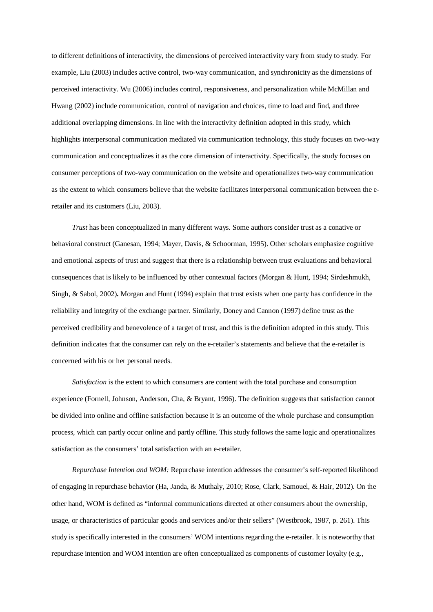to different definitions of interactivity, the dimensions of perceived interactivity vary from study to study. For example, Liu (2003) includes active control, two-way communication, and synchronicity as the dimensions of perceived interactivity. Wu (2006) includes control, responsiveness, and personalization while McMillan and Hwang (2002) include communication, control of navigation and choices, time to load and find, and three additional overlapping dimensions. In line with the interactivity definition adopted in this study, which highlights interpersonal communication mediated via communication technology, this study focuses on two-way communication and conceptualizes it as the core dimension of interactivity. Specifically, the study focuses on consumer perceptions of two-way communication on the website and operationalizes two-way communication as the extent to which consumers believe that the website facilitates interpersonal communication between the eretailer and its customers (Liu, 2003).

*Trust* has been conceptualized in many different ways. Some authors consider trust as a conative or behavioral construct (Ganesan, 1994; Mayer, Davis, & Schoorman, 1995). Other scholars emphasize cognitive and emotional aspects of trust and suggest that there is a relationship between trust evaluations and behavioral consequences that is likely to be influenced by other contextual factors (Morgan & Hunt, 1994; Sirdeshmukh, Singh, & Sabol, 2002)**.** Morgan and Hunt (1994) explain that trust exists when one party has confidence in the reliability and integrity of the exchange partner. Similarly, Doney and Cannon (1997) define trust as the perceived credibility and benevolence of a target of trust, and this is the definition adopted in this study. This definition indicates that the consumer can rely on the e-retailer's statements and believe that the e-retailer is concerned with his or her personal needs.

*Satisfaction* is the extent to which consumers are content with the total purchase and consumption experience (Fornell, Johnson, Anderson, Cha, & Bryant, 1996). The definition suggests that satisfaction cannot be divided into online and offline satisfaction because it is an outcome of the whole purchase and consumption process, which can partly occur online and partly offline. This study follows the same logic and operationalizes satisfaction as the consumers' total satisfaction with an e-retailer.

*Repurchase Intention and WOM:* Repurchase intention addresses the consumer's self-reported likelihood of engaging in repurchase behavior (Ha, Janda, & Muthaly, 2010; Rose, Clark, Samouel, & Hair, 2012). On the other hand, WOM is defined as "informal communications directed at other consumers about the ownership, usage, or characteristics of particular goods and services and/or their sellers" (Westbrook, 1987, p. 261). This study is specifically interested in the consumers' WOM intentions regarding the e-retailer. It is noteworthy that repurchase intention and WOM intention are often conceptualized as components of customer loyalty (e.g.,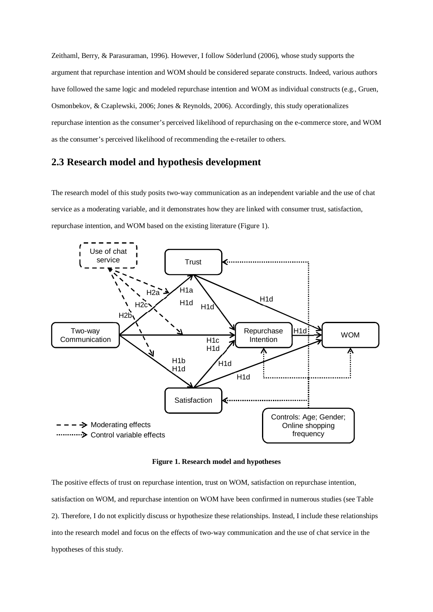Zeithaml, Berry, & Parasuraman, 1996). However, I follow Söderlund (2006), whose study supports the argument that repurchase intention and WOM should be considered separate constructs. Indeed, various authors have followed the same logic and modeled repurchase intention and WOM as individual constructs (e.g., Gruen, Osmonbekov, & Czaplewski, 2006; Jones & Reynolds, 2006). Accordingly, this study operationalizes repurchase intention as the consumer's perceived likelihood of repurchasing on the e-commerce store, and WOM as the consumer's perceived likelihood of recommending the e-retailer to others.

### **2.3 Research model and hypothesis development**

The research model of this study posits two-way communication as an independent variable and the use of chat service as a moderating variable, and it demonstrates how they are linked with consumer trust, satisfaction, repurchase intention, and WOM based on the existing literature (Figure 1).



**Figure 1. Research model and hypotheses**

The positive effects of trust on repurchase intention, trust on WOM, satisfaction on repurchase intention, satisfaction on WOM, and repurchase intention on WOM have been confirmed in numerous studies (see Table 2). Therefore, I do not explicitly discuss or hypothesize these relationships. Instead, I include these relationships into the research model and focus on the effects of two-way communication and the use of chat service in the hypotheses of this study.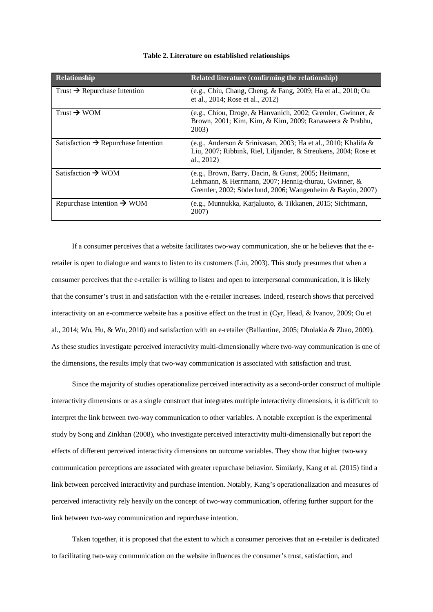| Relationship                                    | Related literature (confirming the relationship)                                                                                                                          |
|-------------------------------------------------|---------------------------------------------------------------------------------------------------------------------------------------------------------------------------|
| Trust $\rightarrow$ Repurchase Intention        | (e.g., Chiu, Chang, Cheng, & Fang, 2009; Ha et al., 2010; Ou<br>et al., 2014; Rose et al., 2012)                                                                          |
| Trust $\rightarrow$ WOM                         | (e.g., Chiou, Droge, & Hanvanich, 2002; Gremler, Gwinner, &<br>Brown, 2001; Kim, Kim, & Kim, 2009; Ranaweera & Prabhu,<br>2003)                                           |
| Satisfaction $\rightarrow$ Repurchase Intention | (e.g., Anderson & Srinivasan, 2003; Ha et al., 2010; Khalifa &<br>Liu, 2007; Ribbink, Riel, Liljander, & Streukens, 2004; Rose et<br>al., $2012$                          |
| Satisfaction $\rightarrow$ WOM                  | (e.g., Brown, Barry, Dacin, & Gunst, 2005; Heitmann,<br>Lehmann, & Herrmann, 2007; Hennig-thurau, Gwinner, &<br>Gremler, 2002; Söderlund, 2006; Wangenheim & Bayón, 2007) |
| Repurchase Intention $\rightarrow$ WOM          | (e.g., Munnukka, Karjaluoto, & Tikkanen, 2015; Sichtmann,<br>2007)                                                                                                        |

#### **Table 2. Literature on established relationships**

If a consumer perceives that a website facilitates two-way communication, she or he believes that the eretailer is open to dialogue and wants to listen to its customers (Liu, 2003). This study presumes that when a consumer perceives that the e-retailer is willing to listen and open to interpersonal communication, it is likely that the consumer's trust in and satisfaction with the e-retailer increases. Indeed, research shows that perceived interactivity on an e-commerce website has a positive effect on the trust in (Cyr, Head, & Ivanov, 2009; Ou et al., 2014; Wu, Hu, & Wu, 2010) and satisfaction with an e-retailer (Ballantine, 2005; Dholakia & Zhao, 2009). As these studies investigate perceived interactivity multi-dimensionally where two-way communication is one of the dimensions, the results imply that two-way communication is associated with satisfaction and trust.

Since the majority of studies operationalize perceived interactivity as a second-order construct of multiple interactivity dimensions or as a single construct that integrates multiple interactivity dimensions, it is difficult to interpret the link between two-way communication to other variables. A notable exception is the experimental study by Song and Zinkhan (2008), who investigate perceived interactivity multi-dimensionally but report the effects of different perceived interactivity dimensions on outcome variables. They show that higher two-way communication perceptions are associated with greater repurchase behavior. Similarly, Kang et al. (2015) find a link between perceived interactivity and purchase intention. Notably, Kang's operationalization and measures of perceived interactivity rely heavily on the concept of two-way communication, offering further support for the link between two-way communication and repurchase intention.

Taken together, it is proposed that the extent to which a consumer perceives that an e-retailer is dedicated to facilitating two-way communication on the website influences the consumer's trust, satisfaction, and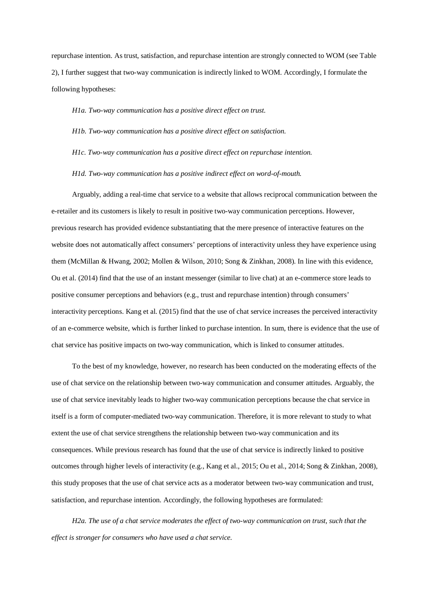repurchase intention. As trust, satisfaction, and repurchase intention are strongly connected to WOM (see Table 2), I further suggest that two-way communication is indirectly linked to WOM. Accordingly, I formulate the following hypotheses:

*H1a. Two-way communication has a positive direct effect on trust.*

#### *H1b. Two-way communication has a positive direct effect on satisfaction.*

*H1c. Two-way communication has a positive direct effect on repurchase intention.*

#### *H1d. Two-way communication has a positive indirect effect on word-of-mouth.*

Arguably, adding a real-time chat service to a website that allows reciprocal communication between the e-retailer and its customers is likely to result in positive two-way communication perceptions. However, previous research has provided evidence substantiating that the mere presence of interactive features on the website does not automatically affect consumers' perceptions of interactivity unless they have experience using them (McMillan & Hwang, 2002; Mollen & Wilson, 2010; Song & Zinkhan, 2008). In line with this evidence, Ou et al. (2014) find that the use of an instant messenger (similar to live chat) at an e-commerce store leads to positive consumer perceptions and behaviors (e.g., trust and repurchase intention) through consumers' interactivity perceptions. Kang et al. (2015) find that the use of chat service increases the perceived interactivity of an e-commerce website, which is further linked to purchase intention. In sum, there is evidence that the use of chat service has positive impacts on two-way communication, which is linked to consumer attitudes.

To the best of my knowledge, however, no research has been conducted on the moderating effects of the use of chat service on the relationship between two-way communication and consumer attitudes. Arguably, the use of chat service inevitably leads to higher two-way communication perceptions because the chat service in itself is a form of computer-mediated two-way communication. Therefore, it is more relevant to study to what extent the use of chat service strengthens the relationship between two-way communication and its consequences. While previous research has found that the use of chat service is indirectly linked to positive outcomes through higher levels of interactivity (e.g., Kang et al., 2015; Ou et al., 2014; Song & Zinkhan, 2008), this study proposes that the use of chat service acts as a moderator between two-way communication and trust, satisfaction, and repurchase intention. Accordingly, the following hypotheses are formulated:

*H2a. The use of a chat service moderates the effect of two-way communication on trust, such that the effect is stronger for consumers who have used a chat service.*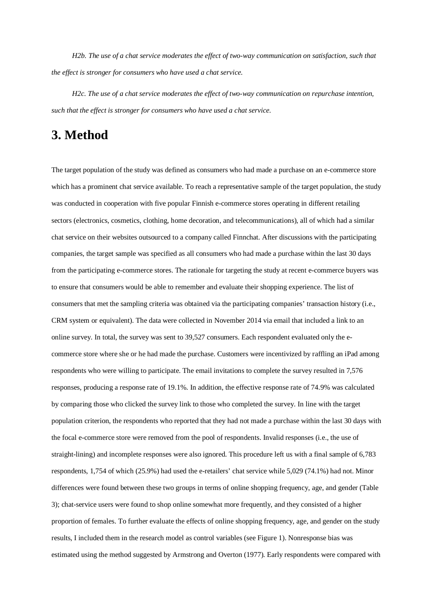*H2b. The use of a chat service moderates the effect of two-way communication on satisfaction, such that the effect is stronger for consumers who have used a chat service.*

*H2c. The use of a chat service moderates the effect of two-way communication on repurchase intention, such that the effect is stronger for consumers who have used a chat service.*

## **3. Method**

The target population of the study was defined as consumers who had made a purchase on an e-commerce store which has a prominent chat service available. To reach a representative sample of the target population, the study was conducted in cooperation with five popular Finnish e-commerce stores operating in different retailing sectors (electronics, cosmetics, clothing, home decoration, and telecommunications), all of which had a similar chat service on their websites outsourced to a company called Finnchat. After discussions with the participating companies, the target sample was specified as all consumers who had made a purchase within the last 30 days from the participating e-commerce stores. The rationale for targeting the study at recent e-commerce buyers was to ensure that consumers would be able to remember and evaluate their shopping experience. The list of consumers that met the sampling criteria was obtained via the participating companies' transaction history (i.e., CRM system or equivalent). The data were collected in November 2014 via email that included a link to an online survey. In total, the survey was sent to 39,527 consumers. Each respondent evaluated only the ecommerce store where she or he had made the purchase. Customers were incentivized by raffling an iPad among respondents who were willing to participate. The email invitations to complete the survey resulted in 7,576 responses, producing a response rate of 19.1%. In addition, the effective response rate of 74.9% was calculated by comparing those who clicked the survey link to those who completed the survey. In line with the target population criterion, the respondents who reported that they had not made a purchase within the last 30 days with the focal e-commerce store were removed from the pool of respondents. Invalid responses (i.e., the use of straight-lining) and incomplete responses were also ignored. This procedure left us with a final sample of 6,783 respondents, 1,754 of which (25.9%) had used the e-retailers' chat service while 5,029 (74.1%) had not. Minor differences were found between these two groups in terms of online shopping frequency, age, and gender (Table 3); chat-service users were found to shop online somewhat more frequently, and they consisted of a higher proportion of females. To further evaluate the effects of online shopping frequency, age, and gender on the study results, I included them in the research model as control variables (see Figure 1). Nonresponse bias was estimated using the method suggested by Armstrong and Overton (1977). Early respondents were compared with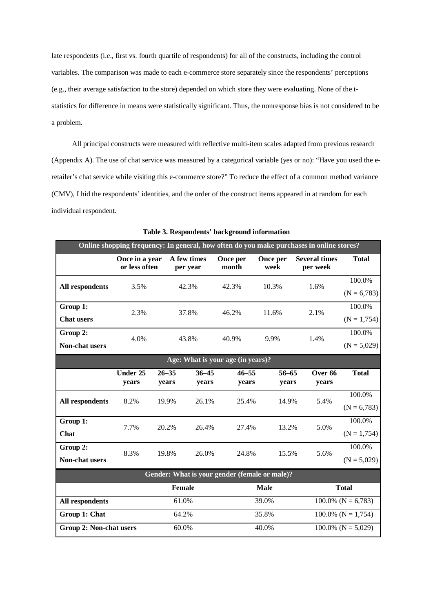late respondents (i.e., first vs. fourth quartile of respondents) for all of the constructs, including the control variables. The comparison was made to each e-commerce store separately since the respondents' perceptions (e.g., their average satisfaction to the store) depended on which store they were evaluating. None of the tstatistics for difference in means were statistically significant. Thus, the nonresponse bias is not considered to be a problem.

All principal constructs were measured with reflective multi-item scales adapted from previous research (Appendix A). The use of chat service was measured by a categorical variable (yes or no): "Have you used the eretailer's chat service while visiting this e-commerce store?" To reduce the effect of a common method variance (CMV), I hid the respondents' identities, and the order of the construct items appeared in at random for each individual respondent.

| Online shopping frequency: In general, how often do you make purchases in online stores? |                                 |                    |                         |                                               |                    |                                  |                          |  |  |
|------------------------------------------------------------------------------------------|---------------------------------|--------------------|-------------------------|-----------------------------------------------|--------------------|----------------------------------|--------------------------|--|--|
|                                                                                          | Once in a year<br>or less often |                    | A few times<br>per year | Once per<br>month                             | Once per<br>week   | <b>Several times</b><br>per week | <b>Total</b>             |  |  |
| <b>All respondents</b>                                                                   | 3.5%                            |                    | 42.3%                   | 42.3%                                         | 10.3%              | 1.6%                             | 100.0%<br>$(N = 6,783)$  |  |  |
| Group 1:<br><b>Chat users</b>                                                            | 2.3%                            |                    | 37.8%                   | 46.2%                                         | 11.6%              | 2.1%                             | 100.0%<br>$(N = 1, 754)$ |  |  |
| Group 2:<br><b>Non-chat users</b>                                                        | 4.0%                            | 43.8%              |                         | 40.9%                                         | 9.9%               | 1.4%                             | 100.0%<br>$(N = 5,029)$  |  |  |
| Age: What is your age (in years)?                                                        |                                 |                    |                         |                                               |                    |                                  |                          |  |  |
|                                                                                          | Under 25<br>years               | $26 - 35$<br>years | $36 - 45$<br>years      | $46 - 55$<br>years                            | $56 - 65$<br>years | Over 66<br>years                 | <b>Total</b>             |  |  |
| <b>All respondents</b>                                                                   | 8.2%                            | 19.9%              | 26.1%                   | 25.4%                                         | 14.9%              | 5.4%                             | 100.0%<br>$(N = 6,783)$  |  |  |
| Group 1:<br>Chat                                                                         | 7.7%                            | 20.2%              | 26.4%                   | 27.4%                                         | 13.2%              | 5.0%                             | 100.0%<br>$(N = 1, 754)$ |  |  |
| Group 2:<br><b>Non-chat users</b>                                                        | 8.3%                            | 19.8%              | 26.0%                   | 24.8%                                         | 15.5%              | 5.6%                             | 100.0%<br>$(N = 5,029)$  |  |  |
|                                                                                          |                                 |                    |                         | Gender: What is your gender (female or male)? |                    |                                  |                          |  |  |
| <b>Total</b><br><b>Female</b><br><b>Male</b>                                             |                                 |                    |                         |                                               |                    |                                  |                          |  |  |
| <b>All respondents</b>                                                                   |                                 | 61.0%              |                         |                                               | 39.0%              | $100.0\%$ (N = 6,783)            |                          |  |  |
| Group 1: Chat                                                                            |                                 | 64.2%              |                         | 35.8%                                         |                    | $100.0\%$ (N = 1,754)            |                          |  |  |
| <b>Group 2: Non-chat users</b>                                                           |                                 | 60.0%              |                         | 40.0%                                         |                    | $100.0\%$ (N = 5,029)            |                          |  |  |

**Table 3. Respondents' background information**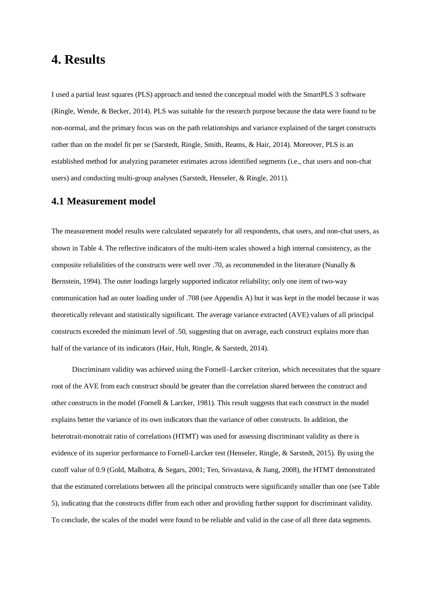## **4. Results**

I used a partial least squares (PLS) approach and tested the conceptual model with the SmartPLS 3 software (Ringle, Wende, & Becker, 2014). PLS was suitable for the research purpose because the data were found to be non-normal, and the primary focus was on the path relationships and variance explained of the target constructs rather than on the model fit per se (Sarstedt, Ringle, Smith, Reams, & Hair, 2014). Moreover, PLS is an established method for analyzing parameter estimates across identified segments (i.e., chat users and non-chat users) and conducting multi-group analyses (Sarstedt, Henseler, & Ringle, 2011).

### **4.1 Measurement model**

The measurement model results were calculated separately for all respondents, chat users, and non-chat users, as shown in Table 4. The reflective indicators of the multi-item scales showed a high internal consistency, as the composite reliabilities of the constructs were well over .70, as recommended in the literature (Nunally & Bernstein, 1994). The outer loadings largely supported indicator reliability; only one item of two-way communication had an outer loading under of .708 (see Appendix A) but it was kept in the model because it was theoretically relevant and statistically significant. The average variance extracted (AVE) values of all principal constructs exceeded the minimum level of .50, suggesting that on average, each construct explains more than half of the variance of its indicators (Hair, Hult, Ringle, & Sarstedt, 2014).

Discriminant validity was achieved using the Fornell–Larcker criterion, which necessitates that the square root of the AVE from each construct should be greater than the correlation shared between the construct and other constructs in the model (Fornell & Larcker, 1981). This result suggests that each construct in the model explains better the variance of its own indicators than the variance of other constructs. In addition, the heterotrait-monotrait ratio of correlations (HTMT) was used for assessing discriminant validity as there is evidence of its superior performance to Fornell-Larcker test (Henseler, Ringle, & Sarstedt, 2015). By using the cutoff value of 0.9 (Gold, Malhotra, & Segars, 2001; Teo, Srivastava, & Jiang, 2008), the HTMT demonstrated that the estimated correlations between all the principal constructs were significantly smaller than one (see Table 5), indicating that the constructs differ from each other and providing further support for discriminant validity. To conclude, the scales of the model were found to be reliable and valid in the case of all three data segments.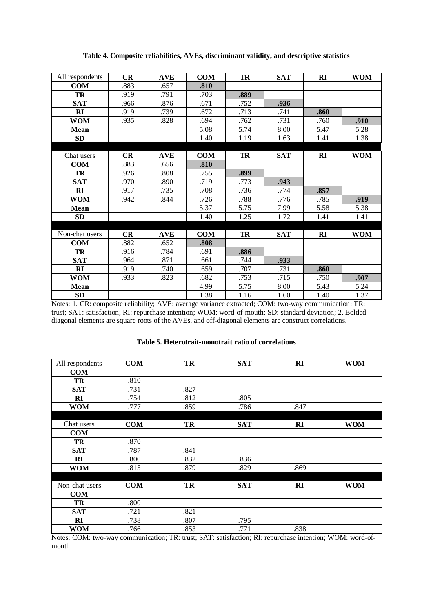| All respondents | CR   | <b>AVE</b> | <b>COM</b> | TR   | <b>SAT</b> | RI           | <b>WOM</b> |
|-----------------|------|------------|------------|------|------------|--------------|------------|
| <b>COM</b>      | .883 | .657       | .810       |      |            |              |            |
| TR              | .919 | .791       | .703       | .889 |            |              |            |
| <b>SAT</b>      | .966 | .876       | .671       | .752 | .936       |              |            |
| RI              | .919 | .739       | .672       | .713 | .741       | .860         |            |
| <b>WOM</b>      | .935 | .828       | .694       | .762 | .731       | .760         | .910       |
| <b>Mean</b>     |      |            | 5.08       | 5.74 | 8.00       | 5.47         | 5.28       |
| SD              |      |            | 1.40       | 1.19 | 1.63       | 1.41         | 1.38       |
|                 |      |            |            |      |            |              |            |
| Chat users      | CR   | <b>AVE</b> | <b>COM</b> | TR   | <b>SAT</b> | $\mathbf{R}$ | <b>WOM</b> |
| <b>COM</b>      | .883 | .656       | .810       |      |            |              |            |
| <b>TR</b>       | .926 | .808       | .755       | .899 |            |              |            |
| <b>SAT</b>      | .970 | .890       | .719       | .773 | .943       |              |            |
| RI              | .917 | .735       | .708       | .736 | .774       | .857         |            |
| <b>WOM</b>      | .942 | .844       | .726       | .788 | .776       | .785         | .919       |
| <b>Mean</b>     |      |            | 5.37       | 5.75 | 7.99       | 5.58         | 5.38       |
| <b>SD</b>       |      |            | 1.40       | 1.25 | 1.72       | 1.41         | 1.41       |
|                 |      |            |            |      |            |              |            |
| Non-chat users  | CR   | <b>AVE</b> | <b>COM</b> | TR   | <b>SAT</b> | RI           | <b>WOM</b> |
| <b>COM</b>      | .882 | .652       | .808       |      |            |              |            |
| TR              | .916 | .784       | .691       | .886 |            |              |            |
| <b>SAT</b>      | .964 | .871       | .661       | .744 | .933       |              |            |
| RI              | .919 | .740       | .659       | .707 | .731       | .860         |            |
| <b>WOM</b>      | .933 | .823       | .682       | .753 | .715       | .750         | .907       |
| Mean            |      |            | 4.99       | 5.75 | 8.00       | 5.43         | 5.24       |
| <b>SD</b>       |      |            | 1.38       | 1.16 | 1.60       | 1.40         | 1.37       |

**Table 4. Composite reliabilities, AVEs, discriminant validity, and descriptive statistics**

Notes: 1. CR: composite reliability; AVE: average variance extracted; COM: two-way communication; TR: trust; SAT: satisfaction; RI: repurchase intention; WOM: word-of-mouth; SD: standard deviation; 2. Bolded diagonal elements are square roots of the AVEs, and off-diagonal elements are construct correlations.

| All respondents | <b>COM</b> | TR   | <b>SAT</b> | RI           | <b>WOM</b> |
|-----------------|------------|------|------------|--------------|------------|
| <b>COM</b>      |            |      |            |              |            |
| TR              | .810       |      |            |              |            |
| <b>SAT</b>      | .731       | .827 |            |              |            |
| RI              | .754       | .812 | .805       |              |            |
| <b>WOM</b>      | .777       | .859 | .786       | .847         |            |
|                 |            |      |            |              |            |
| Chat users      | COM        | TR   | <b>SAT</b> | R1           | <b>WOM</b> |
| COM             |            |      |            |              |            |
| TR              | .870       |      |            |              |            |
| <b>SAT</b>      | .787       | .841 |            |              |            |
| RI              | .800       | .832 | .836       |              |            |
| <b>WOM</b>      | .815       | .879 | .829       | .869         |            |
|                 |            |      |            |              |            |
| Non-chat users  | <b>COM</b> | TR   | <b>SAT</b> | $\mathbf{R}$ | <b>WOM</b> |
| <b>COM</b>      |            |      |            |              |            |
| TR              | .800       |      |            |              |            |
| <b>SAT</b>      | .721       | .821 |            |              |            |
| RI              | .738       | .807 | .795       |              |            |
| <b>WOM</b>      | .766       | .853 | .771       | .838         |            |

**Table 5. Heterotrait-monotrait ratio of correlations**

Notes: COM: two-way communication; TR: trust; SAT: satisfaction; RI: repurchase intention; WOM: word-ofmouth.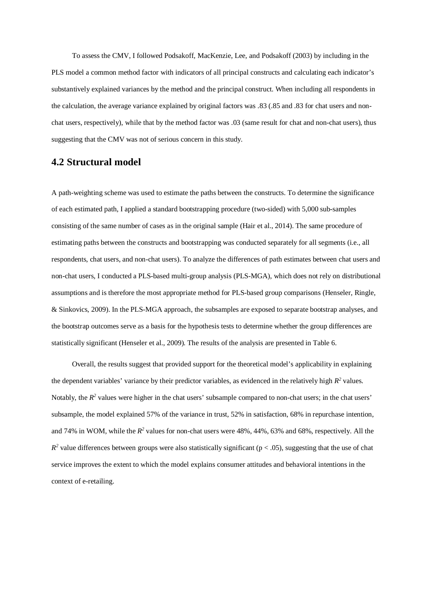To assess the CMV, I followed Podsakoff, MacKenzie, Lee, and Podsakoff (2003) by including in the PLS model a common method factor with indicators of all principal constructs and calculating each indicator's substantively explained variances by the method and the principal construct. When including all respondents in the calculation, the average variance explained by original factors was .83 (.85 and .83 for chat users and nonchat users, respectively), while that by the method factor was .03 (same result for chat and non-chat users), thus suggesting that the CMV was not of serious concern in this study.

### **4.2 Structural model**

A path-weighting scheme was used to estimate the paths between the constructs. To determine the significance of each estimated path, I applied a standard bootstrapping procedure (two-sided) with 5,000 sub-samples consisting of the same number of cases as in the original sample (Hair et al., 2014). The same procedure of estimating paths between the constructs and bootstrapping was conducted separately for all segments (i.e., all respondents, chat users, and non-chat users). To analyze the differences of path estimates between chat users and non-chat users, I conducted a PLS-based multi-group analysis (PLS-MGA), which does not rely on distributional assumptions and is therefore the most appropriate method for PLS-based group comparisons (Henseler, Ringle, & Sinkovics, 2009). In the PLS-MGA approach, the subsamples are exposed to separate bootstrap analyses, and the bootstrap outcomes serve as a basis for the hypothesis tests to determine whether the group differences are statistically significant (Henseler et al., 2009). The results of the analysis are presented in Table 6.

Overall, the results suggest that provided support for the theoretical model's applicability in explaining the dependent variables' variance by their predictor variables, as evidenced in the relatively high  $R^2$  values. Notably, the  $R^2$  values were higher in the chat users' subsample compared to non-chat users; in the chat users' subsample, the model explained 57% of the variance in trust, 52% in satisfaction, 68% in repurchase intention, and 74% in WOM, while the  $R^2$  values for non-chat users were 48%, 44%, 63% and 68%, respectively. All the  $R<sup>2</sup>$  value differences between groups were also statistically significant ( $p < .05$ ), suggesting that the use of chat service improves the extent to which the model explains consumer attitudes and behavioral intentions in the context of e-retailing.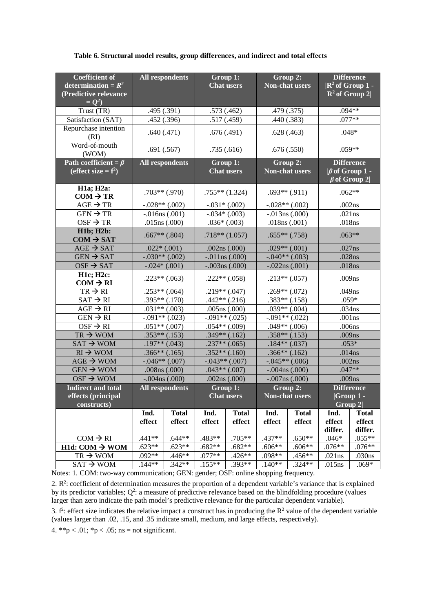|  | Table 6. Structural model results, group differences, and indirect and total effects |  |  |  |  |
|--|--------------------------------------------------------------------------------------|--|--|--|--|
|  |                                                                                      |  |  |  |  |

| <b>Coefficient of</b><br>determination = $R^2$<br>(Predictive relevance<br>$= Q^2$ |                        | <b>All respondents</b><br>Group 1:<br><b>Chat users</b> |                               |                   |                                   |                     |                   |                                                                 |  |  |  |  |  | Group 2:<br><b>Non-chat users</b> |  | <b>Difference</b><br>$\mathbb{R}^2$ of Group 1 -<br>$R^2$ of Group 2 |
|------------------------------------------------------------------------------------|------------------------|---------------------------------------------------------|-------------------------------|-------------------|-----------------------------------|---------------------|-------------------|-----------------------------------------------------------------|--|--|--|--|--|-----------------------------------|--|----------------------------------------------------------------------|
| Trust (TR)                                                                         |                        | .495(.391)                                              |                               | .573(.462)        |                                   | .479 (.375)         |                   | .094**                                                          |  |  |  |  |  |                                   |  |                                                                      |
| Satisfaction (SAT)                                                                 |                        | .452 (.396)                                             |                               | .517(.459)        |                                   | .440(.383)          |                   | $.077**$                                                        |  |  |  |  |  |                                   |  |                                                                      |
| Repurchase intention<br>(RI)                                                       |                        | .640(.471)                                              |                               | .676(.491)        |                                   | .628(.463)          | $.048*$           |                                                                 |  |  |  |  |  |                                   |  |                                                                      |
| Word-of-mouth<br>(WOM)                                                             |                        | .691(.567)                                              |                               | .735(.616)        |                                   | .676(.550)          | $.059**$          |                                                                 |  |  |  |  |  |                                   |  |                                                                      |
| Path coefficient = $\beta$<br>(effect size $=f^2$ )                                | <b>All respondents</b> |                                                         | Group 1:<br><b>Chat users</b> |                   | Group 2:<br><b>Non-chat users</b> |                     |                   | <b>Difference</b><br>$\beta$ of Group 1 -<br>$\beta$ of Group 2 |  |  |  |  |  |                                   |  |                                                                      |
| <b>H1a</b> ; <b>H2a</b> :<br>$COM \rightarrow TR$                                  |                        | $.703**$ (.970)                                         |                               | $.755**$ (1.324)  | $.693**$ $(.911)$                 |                     |                   | $.062**$                                                        |  |  |  |  |  |                                   |  |                                                                      |
| $AGE \rightarrow TR$                                                               |                        | $-.028**(.002)$                                         |                               | $-.031*(.002)$    |                                   | $-.028**(.002)$     |                   | .002ns                                                          |  |  |  |  |  |                                   |  |                                                                      |
| $GEN \rightarrow TR$                                                               |                        | $-.016ns(.001)$                                         |                               | $-.034*(.003)$    |                                   | $-.013ns(.000)$     |                   | .021ns                                                          |  |  |  |  |  |                                   |  |                                                                      |
| $OSF \rightarrow TR$                                                               |                        | .015ns(.000)                                            |                               | $.036*(.003)$     |                                   | .018ns(.001)        |                   | .018ns                                                          |  |  |  |  |  |                                   |  |                                                                      |
| <b>H1b; H2b:</b><br>$COM \rightarrow SAT$                                          |                        | $.667**(.804)$                                          |                               | $.718**$ (1.057)  | $.655**(.758)$                    |                     | $.063**$          |                                                                 |  |  |  |  |  |                                   |  |                                                                      |
| $AGE \rightarrow SAT$                                                              |                        | $.022*(.001)$                                           |                               | .002ns(.000)      | $.029**(.001)$                    |                     | .027ns            |                                                                 |  |  |  |  |  |                                   |  |                                                                      |
| $GEN \rightarrow SAT$                                                              |                        | $-.030**(.002)$                                         |                               | $-.011ns(.000)$   |                                   | $-.040**(.003)$     | .028ns            |                                                                 |  |  |  |  |  |                                   |  |                                                                      |
| $OSF \rightarrow SAT$                                                              |                        | $-.024*(.001)$                                          |                               | $-.003ns(.000)$   | $-.022ns(.001)$                   |                     | .018ns            |                                                                 |  |  |  |  |  |                                   |  |                                                                      |
| <b>H1c; H2c:</b><br>$COM \rightarrow RI$                                           |                        | $.223**(.063)$                                          |                               | $.222**(.058)$    | $.213**(.057)$                    |                     | .009ns            |                                                                 |  |  |  |  |  |                                   |  |                                                                      |
| $TR \rightarrow RI$                                                                |                        | $.253**(.064)$                                          |                               | $.219**(.047)$    |                                   | $.269**(.072)$      |                   | .049ns                                                          |  |  |  |  |  |                                   |  |                                                                      |
| $SAT \rightarrow RI$                                                               |                        | $.395**(.170)$                                          |                               | $.442**$ $(.216)$ |                                   | $.383**(.158)$      |                   | $.059*$                                                         |  |  |  |  |  |                                   |  |                                                                      |
| $AGE \rightarrow RI$                                                               |                        | $.031**(.003)$                                          |                               | .005ns(.000)      |                                   | $.039**$ $(.004)$   |                   | .034ns                                                          |  |  |  |  |  |                                   |  |                                                                      |
| $GEN \rightarrow RI$                                                               |                        | $-.091**(.023)$                                         | $-.091**(.025)$               |                   |                                   | $-.091**(.022)$     | .001ns            |                                                                 |  |  |  |  |  |                                   |  |                                                                      |
| $OSF \rightarrow RI$                                                               | $.051**(.007)$         |                                                         |                               | $.054**(.009)$    |                                   | $.049**$ $(.006)$   | .006ns            |                                                                 |  |  |  |  |  |                                   |  |                                                                      |
| $TR \rightarrow WOM$                                                               |                        | $.353**(.153)$                                          |                               | $.349**(.162)$    |                                   | $.358**(.153)$      |                   | .009ns                                                          |  |  |  |  |  |                                   |  |                                                                      |
| $SAT \rightarrow WOM$                                                              |                        | $.197**(.043)$                                          |                               | $.237**(.065)$    |                                   | $.184**(.037)$      |                   | $.053*$                                                         |  |  |  |  |  |                                   |  |                                                                      |
| $RI \rightarrow WOM$                                                               |                        | $.366**(.165)$                                          |                               | $.352**(.160)$    |                                   | $.366**(.162)$      |                   | .014ns                                                          |  |  |  |  |  |                                   |  |                                                                      |
| $AGE \rightarrow WOM$                                                              |                        | $-.046**(.007)$                                         |                               | $-.043**(.007)$   |                                   | $-.045**(.006)$     |                   | .002ns                                                          |  |  |  |  |  |                                   |  |                                                                      |
| $GEN \rightarrow WOM$                                                              |                        | .008ns (.000)                                           |                               | $.043**(.007)$    |                                   | $-.004$ ns $(.000)$ | $.047**$          |                                                                 |  |  |  |  |  |                                   |  |                                                                      |
| $OSF \rightarrow WOM$                                                              |                        | $-.004$ ns $(.000)$                                     |                               | .002ns(.000)      |                                   | $-.007ns(.000)$     | .009ns            |                                                                 |  |  |  |  |  |                                   |  |                                                                      |
| <b>Indirect and total</b>                                                          |                        | <b>All respondents</b>                                  |                               | Group 1:          |                                   | Group 2:            |                   | <b>Difference</b>                                               |  |  |  |  |  |                                   |  |                                                                      |
| effects (principal                                                                 |                        |                                                         |                               | <b>Chat</b> users |                                   | Non-chat users      |                   | $ Group 1 -$                                                    |  |  |  |  |  |                                   |  |                                                                      |
| constructs)                                                                        | Ind.                   | <b>Total</b>                                            | Ind.                          | <b>Total</b>      | Ind.<br><b>Total</b>              |                     | Group 2<br>Ind.   | <b>Total</b>                                                    |  |  |  |  |  |                                   |  |                                                                      |
|                                                                                    | effect                 | effect                                                  | effect                        | effect            | effect                            | effect              | effect<br>differ. | effect<br>differ.                                               |  |  |  |  |  |                                   |  |                                                                      |
| $COM \rightarrow RI$                                                               | $.441**$               | $.644**$                                                | .483**                        | .705**            | .437**                            | $.650**$            | $.046*$           | $.055**$                                                        |  |  |  |  |  |                                   |  |                                                                      |
| $H1d: COM \rightarrow WOM$                                                         | $.623**$               | $.623**$                                                | $.682**$                      | $.682**$          | $.606**$                          | $.606**$            | $.076**$          | $.076**$                                                        |  |  |  |  |  |                                   |  |                                                                      |
| $TR \rightarrow WOM$                                                               | $.092**$               | .446**                                                  | $.077**$                      | $.426**$          | .098**                            | .456**              | .021ns            | .030ns                                                          |  |  |  |  |  |                                   |  |                                                                      |
| $SAT \rightarrow WOM$                                                              | $.144**$               | $.342**$                                                | $.155**$                      | .393**            | $.140**$                          | $.324**$            | .015ns            | $.069*$                                                         |  |  |  |  |  |                                   |  |                                                                      |

Notes: 1. COM: two-way communication; GEN: gender; OSF: online shopping frequency.

2.  $\mathbb{R}^2$ : coefficient of determination measures the proportion of a dependent variable's variance that is explained by its predictor variables; Q<sup>2</sup>: a measure of predictive relevance based on the blindfolding procedure (values larger than zero indicate the path model's predictive relevance for the particular dependent variable).

3.  $f^2$ : effect size indicates the relative impact a construct has in producing the  $\mathbb{R}^2$  value of the dependent variable (values larger than .02, .15, and .35 indicate small, medium, and large effects, respectively).

4. \*\*p < .01; \*p < .05; ns = not significant.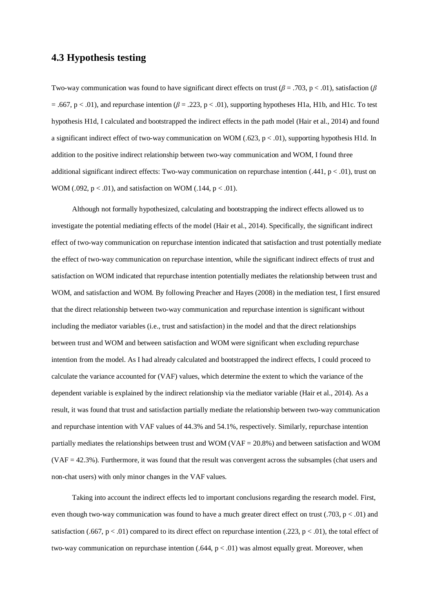### **4.3 Hypothesis testing**

Two-way communication was found to have significant direct effects on trust (*β* = .703, p < .01), satisfaction (*β*  $= .667$ , p < .01), and repurchase intention ( $\beta = .223$ , p < .01), supporting hypotheses H1a, H1b, and H1c. To test hypothesis H1d, I calculated and bootstrapped the indirect effects in the path model (Hair et al., 2014) and found a significant indirect effect of two-way communication on WOM (.623, p < .01), supporting hypothesis H1d. In addition to the positive indirect relationship between two-way communication and WOM, I found three additional significant indirect effects: Two-way communication on repurchase intention (.441,  $p < .01$ ), trust on WOM (.092,  $p < .01$ ), and satisfaction on WOM (.144,  $p < .01$ ).

Although not formally hypothesized, calculating and bootstrapping the indirect effects allowed us to investigate the potential mediating effects of the model (Hair et al., 2014). Specifically, the significant indirect effect of two-way communication on repurchase intention indicated that satisfaction and trust potentially mediate the effect of two-way communication on repurchase intention, while the significant indirect effects of trust and satisfaction on WOM indicated that repurchase intention potentially mediates the relationship between trust and WOM, and satisfaction and WOM. By following Preacher and Hayes (2008) in the mediation test, I first ensured that the direct relationship between two-way communication and repurchase intention is significant without including the mediator variables (i.e., trust and satisfaction) in the model and that the direct relationships between trust and WOM and between satisfaction and WOM were significant when excluding repurchase intention from the model. As I had already calculated and bootstrapped the indirect effects, I could proceed to calculate the variance accounted for (VAF) values, which determine the extent to which the variance of the dependent variable is explained by the indirect relationship via the mediator variable (Hair et al., 2014). As a result, it was found that trust and satisfaction partially mediate the relationship between two-way communication and repurchase intention with VAF values of 44.3% and 54.1%, respectively. Similarly, repurchase intention partially mediates the relationships between trust and WOM (VAF = 20.8%) and between satisfaction and WOM (VAF = 42.3%). Furthermore, it was found that the result was convergent across the subsamples (chat users and non-chat users) with only minor changes in the VAF values.

Taking into account the indirect effects led to important conclusions regarding the research model. First, even though two-way communication was found to have a much greater direct effect on trust (.703,  $p < .01$ ) and satisfaction (.667,  $p < .01$ ) compared to its direct effect on repurchase intention (.223,  $p < .01$ ), the total effect of two-way communication on repurchase intention  $(.644, p < .01)$  was almost equally great. Moreover, when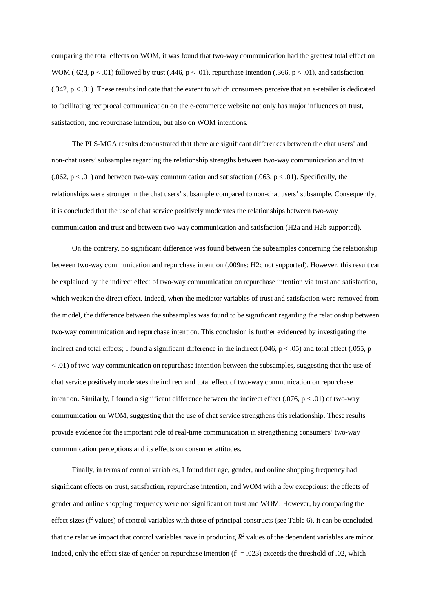comparing the total effects on WOM, it was found that two-way communication had the greatest total effect on WOM (.623,  $p < .01$ ) followed by trust (.446,  $p < .01$ ), repurchase intention (.366,  $p < .01$ ), and satisfaction  $(0.342, p < 0.01)$ . These results indicate that the extent to which consumers perceive that an e-retailer is dedicated to facilitating reciprocal communication on the e-commerce website not only has major influences on trust, satisfaction, and repurchase intention, but also on WOM intentions.

The PLS-MGA results demonstrated that there are significant differences between the chat users' and non-chat users' subsamples regarding the relationship strengths between two-way communication and trust  $(0.062, p < 0.01)$  and between two-way communication and satisfaction  $(0.063, p < 0.01)$ . Specifically, the relationships were stronger in the chat users' subsample compared to non-chat users' subsample. Consequently, it is concluded that the use of chat service positively moderates the relationships between two-way communication and trust and between two-way communication and satisfaction (H2a and H2b supported).

On the contrary, no significant difference was found between the subsamples concerning the relationship between two-way communication and repurchase intention (.009ns; H2c not supported). However, this result can be explained by the indirect effect of two-way communication on repurchase intention via trust and satisfaction, which weaken the direct effect. Indeed, when the mediator variables of trust and satisfaction were removed from the model, the difference between the subsamples was found to be significant regarding the relationship between two-way communication and repurchase intention. This conclusion is further evidenced by investigating the indirect and total effects; I found a significant difference in the indirect (.046,  $p < .05$ ) and total effect (.055, p < .01) of two-way communication on repurchase intention between the subsamples, suggesting that the use of chat service positively moderates the indirect and total effect of two-way communication on repurchase intention. Similarly, I found a significant difference between the indirect effect  $(.076, p < .01)$  of two-way communication on WOM, suggesting that the use of chat service strengthens this relationship. These results provide evidence for the important role of real-time communication in strengthening consumers' two-way communication perceptions and its effects on consumer attitudes.

Finally, in terms of control variables, I found that age, gender, and online shopping frequency had significant effects on trust, satisfaction, repurchase intention, and WOM with a few exceptions: the effects of gender and online shopping frequency were not significant on trust and WOM. However, by comparing the effect sizes (f<sup>2</sup> values) of control variables with those of principal constructs (see Table 6), it can be concluded that the relative impact that control variables have in producing  $R^2$  values of the dependent variables are minor. Indeed, only the effect size of gender on repurchase intention  $(f^2 = .023)$  exceeds the threshold of .02, which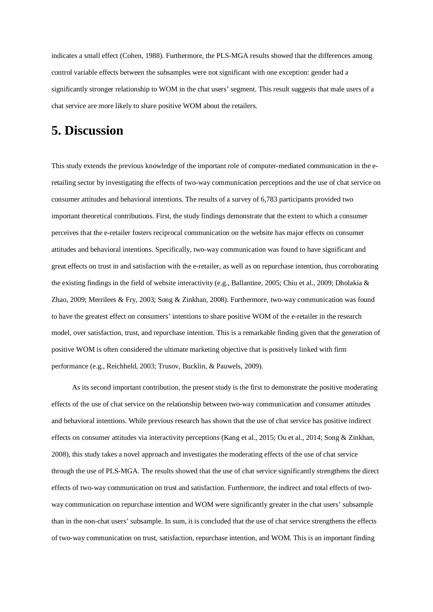indicates a small effect (Cohen, 1988). Furthermore, the PLS-MGA results showed that the differences among control variable effects between the subsamples were not significant with one exception: gender had a significantly stronger relationship to WOM in the chat users' segment. This result suggests that male users of a chat service are more likely to share positive WOM about the retailers.

## **5. Discussion**

This study extends the previous knowledge of the important role of computer-mediated communication in the eretailing sector by investigating the effects of two-way communication perceptions and the use of chat service on consumer attitudes and behavioral intentions. The results of a survey of 6,783 participants provided two important theoretical contributions. First, the study findings demonstrate that the extent to which a consumer perceives that the e-retailer fosters reciprocal communication on the website has major effects on consumer attitudes and behavioral intentions. Specifically, two-way communication was found to have significant and great effects on trust in and satisfaction with the e-retailer, as well as on repurchase intention, thus corroborating the existing findings in the field of website interactivity (e.g., Ballantine, 2005; Chiu et al., 2009; Dholakia & Zhao, 2009; Merrilees & Fry, 2003; Song & Zinkhan, 2008). Furthermore, two-way communication was found to have the greatest effect on consumers' intentions to share positive WOM of the e-retailer in the research model, over satisfaction, trust, and repurchase intention. This is a remarkable finding given that the generation of positive WOM is often considered the ultimate marketing objective that is positively linked with firm performance (e.g., Reichheld, 2003; Trusov, Bucklin, & Pauwels, 2009).

As its second important contribution, the present study is the first to demonstrate the positive moderating effects of the use of chat service on the relationship between two-way communication and consumer attitudes and behavioral intentions. While previous research has shown that the use of chat service has positive indirect effects on consumer attitudes via interactivity perceptions (Kang et al., 2015; Ou et al., 2014; Song & Zinkhan, 2008), this study takes a novel approach and investigates the moderating effects of the use of chat service through the use of PLS-MGA. The results showed that the use of chat service significantly strengthens the direct effects of two-way communication on trust and satisfaction. Furthermore, the indirect and total effects of twoway communication on repurchase intention and WOM were significantly greater in the chat users' subsample than in the non-chat users' subsample. In sum, it is concluded that the use of chat service strengthens the effects of two-way communication on trust, satisfaction, repurchase intention, and WOM. This is an important finding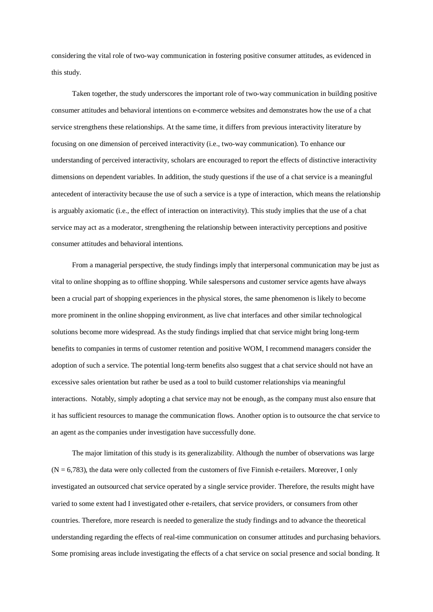considering the vital role of two-way communication in fostering positive consumer attitudes, as evidenced in this study.

Taken together, the study underscores the important role of two-way communication in building positive consumer attitudes and behavioral intentions on e-commerce websites and demonstrates how the use of a chat service strengthens these relationships. At the same time, it differs from previous interactivity literature by focusing on one dimension of perceived interactivity (i.e., two-way communication). To enhance our understanding of perceived interactivity, scholars are encouraged to report the effects of distinctive interactivity dimensions on dependent variables. In addition, the study questions if the use of a chat service is a meaningful antecedent of interactivity because the use of such a service is a type of interaction, which means the relationship is arguably axiomatic (i.e., the effect of interaction on interactivity). This study implies that the use of a chat service may act as a moderator, strengthening the relationship between interactivity perceptions and positive consumer attitudes and behavioral intentions.

From a managerial perspective, the study findings imply that interpersonal communication may be just as vital to online shopping as to offline shopping. While salespersons and customer service agents have always been a crucial part of shopping experiences in the physical stores, the same phenomenon is likely to become more prominent in the online shopping environment, as live chat interfaces and other similar technological solutions become more widespread. As the study findings implied that chat service might bring long-term benefits to companies in terms of customer retention and positive WOM, I recommend managers consider the adoption of such a service. The potential long-term benefits also suggest that a chat service should not have an excessive sales orientation but rather be used as a tool to build customer relationships via meaningful interactions. Notably, simply adopting a chat service may not be enough, as the company must also ensure that it has sufficient resources to manage the communication flows. Another option is to outsource the chat service to an agent as the companies under investigation have successfully done.

The major limitation of this study is its generalizability. Although the number of observations was large  $(N = 6,783)$ , the data were only collected from the customers of five Finnish e-retailers. Moreover, I only investigated an outsourced chat service operated by a single service provider. Therefore, the results might have varied to some extent had I investigated other e-retailers, chat service providers, or consumers from other countries. Therefore, more research is needed to generalize the study findings and to advance the theoretical understanding regarding the effects of real-time communication on consumer attitudes and purchasing behaviors. Some promising areas include investigating the effects of a chat service on social presence and social bonding. It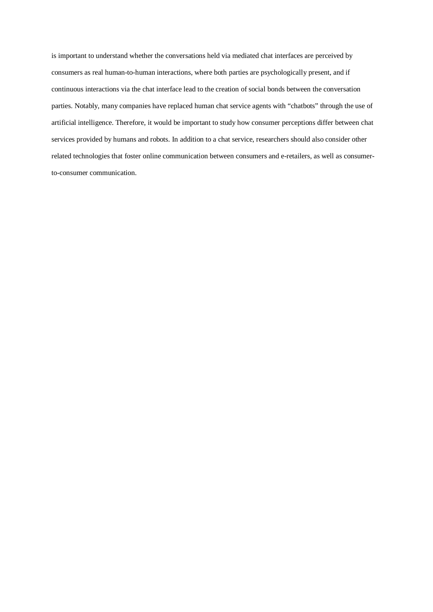is important to understand whether the conversations held via mediated chat interfaces are perceived by consumers as real human-to-human interactions, where both parties are psychologically present, and if continuous interactions via the chat interface lead to the creation of social bonds between the conversation parties. Notably, many companies have replaced human chat service agents with "chatbots" through the use of artificial intelligence. Therefore, it would be important to study how consumer perceptions differ between chat services provided by humans and robots. In addition to a chat service, researchers should also consider other related technologies that foster online communication between consumers and e-retailers, as well as consumerto-consumer communication.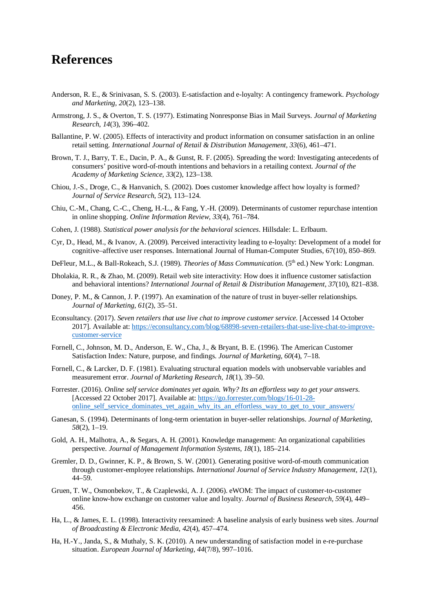## **References**

- Anderson, R. E., & Srinivasan, S. S. (2003). E-satisfaction and e-loyalty: A contingency framework. *Psychology and Marketing, 20*(2), 123–138.
- Armstrong, J. S., & Overton, T. S. (1977). Estimating Nonresponse Bias in Mail Surveys. *Journal of Marketing Research*, *14*(3), 396–402.
- Ballantine, P. W. (2005). Effects of interactivity and product information on consumer satisfaction in an online retail setting. *International Journal of Retail & Distribution Management, 33*(6), 461–471.
- Brown, T. J., Barry, T. E., Dacin, P. A., & Gunst, R. F. (2005). Spreading the word: Investigating antecedents of consumers' positive word-of-mouth intentions and behaviors in a retailing context. *Journal of the Academy of Marketing Science, 33*(2), 123–138.
- Chiou, J.-S., Droge, C., & Hanvanich, S. (2002). Does customer knowledge affect how loyalty is formed? *Journal of Service Research, 5*(2), 113–124.
- Chiu, C.-M., Chang, C.-C., Cheng, H.-L., & Fang, Y.-H. (2009). Determinants of customer repurchase intention in online shopping. *Online Information Review, 33*(4), 761–784.
- Cohen, J. (1988). *Statistical power analysis for the behavioral sciences*. Hillsdale: L. Erlbaum.
- Cyr, D., Head, M., & Ivanov, A. (2009). Perceived interactivity leading to e-loyalty: Development of a model for cognitive–affective user responses. International Journal of Human-Computer Studies, 67(10), 850–869.
- DeFleur, M.L., & Ball-Rokeach, S.J. (1989). *Theories of Mass Communication*. (5th ed.) New York: Longman.
- Dholakia, R. R., & Zhao, M. (2009). Retail web site interactivity: How does it influence customer satisfaction and behavioral intentions? *International Journal of Retail & Distribution Management, 37*(10), 821–838.
- Doney, P. M., & Cannon, J. P. (1997). An examination of the nature of trust in buyer-seller relationships. *Journal of Marketing, 61*(2), 35–51.
- Econsultancy. (2017). *Seven retailers that use live chat to improve customer service.* [Accessed 14 October 2017]. Available at: [https://econsultancy.com/blog/68898-seven-retailers-that-use-live-chat-to-improve](https://econsultancy.com/blog/68898-seven-retailers-that-use-live-chat-to-improve-customer-service)[customer-service](https://econsultancy.com/blog/68898-seven-retailers-that-use-live-chat-to-improve-customer-service)
- Fornell, C., Johnson, M. D., Anderson, E. W., Cha, J., & Bryant, B. E. (1996). The American Customer Satisfaction Index: Nature, purpose, and findings. *Journal of Marketing, 60*(4), 7–18.
- Fornell, C., & Larcker, D. F. (1981). Evaluating structural equation models with unobservable variables and measurement error. *Journal of Marketing Research, 18*(1), 39–50.
- Forrester. (2016). *Online self service dominates yet again. Why? Its an effortless way to get your answers*. [Accessed 22 October 2017]. Available at: [https://go.forrester.com/blogs/16-01-28](https://go.forrester.com/blogs/16-01-28-online_self_service_dominates_yet_again_why_its_an_effortless_way_to_get_to_your_answers/) online self service dominates yet again why its an effortless way to get to your answers/
- Ganesan, S. (1994). Determinants of long-term orientation in buyer-seller relationships. *Journal of Marketing*, *58*(2), 1–19.
- Gold, A. H., Malhotra, A., & Segars, A. H. (2001). Knowledge management: An organizational capabilities perspective. *Journal of Management Information Systems*, *18*(1), 185–214.
- Gremler, D. D., Gwinner, K. P., & Brown, S. W. (2001). Generating positive word-of-mouth communication through customer-employee relationships. *International Journal of Service Industry Management, 12*(1), 44–59.
- Gruen, T. W., Osmonbekov, T., & Czaplewski, A. J. (2006). eWOM: The impact of customer-to-customer online know-how exchange on customer value and loyalty. *Journal of Business Research, 59*(4), 449– 456.
- Ha, L., & James, E. L. (1998). Interactivity reexamined: A baseline analysis of early business web sites. *Journal of Broadcasting & Electronic Media*, *42*(4), 457–474.
- Ha, H.-Y., Janda, S., & Muthaly, S. K. (2010). A new understanding of satisfaction model in e-re-purchase situation. *European Journal of Marketing, 44*(7/8), 997–1016.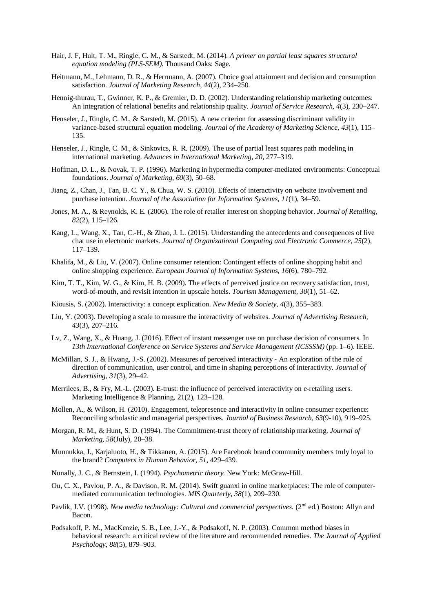- Hair, J. F, Hult, T. M., Ringle, C. M., & Sarstedt, M. (2014). *A primer on partial least squares structural equation modeling (PLS-SEM)*. Thousand Oaks: Sage.
- Heitmann, M., Lehmann, D. R., & Herrmann, A. (2007). Choice goal attainment and decision and consumption satisfaction. *Journal of Marketing Research, 44*(2), 234–250.
- Hennig-thurau, T., Gwinner, K. P., & Gremler, D. D. (2002). Understanding relationship marketing outcomes: An integration of relational benefits and relationship quality. *Journal of Service Research, 4*(3), 230–247.
- Henseler, J., Ringle, C. M., & Sarstedt, M. (2015). A new criterion for assessing discriminant validity in variance-based structural equation modeling. *Journal of the Academy of Marketing Science*, *43*(1), 115– 135.
- Henseler, J., Ringle, C. M., & Sinkovics, R. R. (2009). The use of partial least squares path modeling in international marketing. *Advances in International Marketing, 20*, 277–319.
- Hoffman, D. L., & Novak, T. P. (1996). Marketing in hypermedia computer-mediated environments: Conceptual foundations. *Journal of Marketing*, *60*(3), 50–68.
- Jiang, Z., Chan, J., Tan, B. C. Y., & Chua, W. S. (2010). Effects of interactivity on website involvement and purchase intention. *Journal of the Association for Information Systems, 11*(1), 34–59.
- Jones, M. A., & Reynolds, K. E. (2006). The role of retailer interest on shopping behavior. *Journal of Retailing, 82*(2), 115–126.
- Kang, L., Wang, X., Tan, C.-H., & Zhao, J. L. (2015). Understanding the antecedents and consequences of live chat use in electronic markets. *Journal of Organizational Computing and Electronic Commerce, 25*(2), 117–139.
- Khalifa, M., & Liu, V. (2007). Online consumer retention: Contingent effects of online shopping habit and online shopping experience. *European Journal of Information Systems, 16*(6), 780–792.
- Kim, T. T., Kim, W. G., & Kim, H. B. (2009). The effects of perceived justice on recovery satisfaction, trust, word-of-mouth, and revisit intention in upscale hotels. *Tourism Management, 30*(1), 51–62.
- Kiousis, S. (2002). Interactivity: a concept explication. *New Media & Society*, *4*(3), 355–383.
- Liu, Y. (2003). Developing a scale to measure the interactivity of websites. *Journal of Advertising Research, 43*(3), 207–216.
- Lv, Z., Wang, X., & Huang, J. (2016). Effect of instant messenger use on purchase decision of consumers. In *13th International Conference on Service Systems and Service Management (ICSSSM)* (pp. 1–6). IEEE.
- McMillan, S. J., & Hwang, J.-S. (2002). Measures of perceived interactivity An exploration of the role of direction of communication, user control, and time in shaping perceptions of interactivity. *Journal of Advertising, 31*(3), 29–42.
- Merrilees, B., & Fry, M.-L. (2003). E-trust: the influence of perceived interactivity on e-retailing users. Marketing Intelligence & Planning, 21(2), 123–128.
- Mollen, A., & Wilson, H. (2010). Engagement, telepresence and interactivity in online consumer experience: Reconciling scholastic and managerial perspectives. *Journal of Business Research, 63*(9-10), 919–925.
- Morgan, R. M., & Hunt, S. D. (1994). The Commitment-trust theory of relationship marketing. *Journal of Marketing*, *58*(July), 20–38.
- Munnukka, J., Karjaluoto, H., & Tikkanen, A. (2015). Are Facebook brand community members truly loyal to the brand? *Computers in Human Behavior, 51*, 429–439.
- Nunally, J. C., & Bernstein, I. (1994). *Psychometric theory.* New York: McGraw-Hill.
- Ou, C. X., Pavlou, P. A., & Davison, R. M. (2014). Swift guanxi in online marketplaces: The role of computermediated communication technologies. *MIS Quarterly, 38*(1), 209–230.
- Pavlik, J.V. (1998). *New media technology: Cultural and commercial perspectives.* (2<sup>nd</sup> ed.) Boston: Allyn and Bacon.
- Podsakoff, P. M., MacKenzie, S. B., Lee, J.-Y., & Podsakoff, N. P. (2003). Common method biases in behavioral research: a critical review of the literature and recommended remedies. *The Journal of Applied Psychology, 88*(5), 879–903.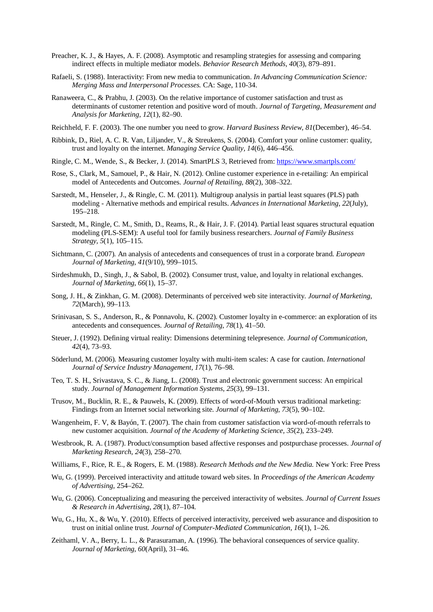- Preacher, K. J., & Hayes, A. F. (2008). Asymptotic and resampling strategies for assessing and comparing indirect effects in multiple mediator models. *Behavior Research Methods, 40*(3), 879–891.
- Rafaeli, S. (1988). Interactivity: From new media to communication. *In Advancing Communication Science: Merging Mass and Interpersonal Processes.* CA: Sage, 110-34.
- Ranaweera, C., & Prabhu, J. (2003). On the relative importance of customer satisfaction and trust as determinants of customer retention and positive word of mouth. *Journal of Targeting, Measurement and Analysis for Marketing, 12*(1), 82–90.
- Reichheld, F. F. (2003). The one number you need to grow. *Harvard Business Review, 81*(December), 46–54.
- Ribbink, D., Riel, A. C. R. Van, Liljander, V., & Streukens, S. (2004). Comfort your online customer: quality, trust and loyalty on the internet. *Managing Service Quality, 14*(6), 446–456.
- Ringle, C. M., Wende, S., & Becker, J. (2014). SmartPLS 3, Retrieved from: <https://www.smartpls.com/>
- Rose, S., Clark, M., Samouel, P., & Hair, N. (2012). Online customer experience in e-retailing: An empirical model of Antecedents and Outcomes. *Journal of Retailing, 88*(2), 308–322.
- Sarstedt, M., Henseler, J., & Ringle, C. M. (2011). Multigroup analysis in partial least squares (PLS) path modeling - Alternative methods and empirical results. *Advances in International Marketing, 22*(July), 195–218.
- Sarstedt, M., Ringle, C. M., Smith, D., Reams, R., & Hair, J. F. (2014). Partial least squares structural equation modeling (PLS-SEM): A useful tool for family business researchers. *Journal of Family Business Strategy, 5*(1), 105–115.
- Sichtmann, C. (2007). An analysis of antecedents and consequences of trust in a corporate brand. *European Journal of Marketing, 41*(9/10), 999–1015.
- Sirdeshmukh, D., Singh, J., & Sabol, B. (2002). Consumer trust, value, and loyalty in relational exchanges. *Journal of Marketing*, *66*(1), 15–37.
- Song, J. H., & Zinkhan, G. M. (2008). Determinants of perceived web site interactivity. *Journal of Marketing, 72*(March), 99–113.
- Srinivasan, S. S., Anderson, R., & Ponnavolu, K. (2002). Customer loyalty in e-commerce: an exploration of its antecedents and consequences. *Journal of Retailing, 78*(1), 41–50.
- Steuer, J. (1992). Defining virtual reality: Dimensions determining telepresence. *Journal of Communication*, *42*(4), 73–93.
- Söderlund, M. (2006). Measuring customer loyalty with multi-item scales: A case for caution. *International Journal of Service Industry Management, 17*(1), 76–98.
- Teo, T. S. H., Srivastava, S. C., & Jiang, L. (2008). Trust and electronic government success: An empirical study. *Journal of Management Information Systems*, *25*(3), 99–131.
- Trusov, M., Bucklin, R. E., & Pauwels, K. (2009). Effects of word-of-Mouth versus traditional marketing: Findings from an Internet social networking site. *Journal of Marketing, 73*(5), 90–102.
- Wangenheim, F. V, & Bayón, T. (2007). The chain from customer satisfaction via word-of-mouth referrals to new customer acquisition. *Journal of the Academy of Marketing Science, 35*(2), 233–249.
- Westbrook, R. A. (1987). Product/consumption based affective responses and postpurchase processes. *Journal of Marketing Research*, *24*(3), 258–270.
- Williams, F., Rice, R. E., & Rogers, E. M. (1988). *Research Methods and the New Media.* New York: Free Press
- Wu, G. (1999). Perceived interactivity and attitude toward web sites. In *Proceedings of the American Academy of Advertising,* 254–262.
- Wu, G. (2006). Conceptualizing and measuring the perceived interactivity of websites. *Journal of Current Issues & Research in Advertising*, *28*(1), 87–104.
- Wu, G., Hu, X., & Wu, Y. (2010). Effects of perceived interactivity, perceived web assurance and disposition to trust on initial online trust. *Journal of Computer-Mediated Communication, 16*(1), 1–26.
- Zeithaml, V. A., Berry, L. L., & Parasuraman, A. (1996). The behavioral consequences of service quality. *Journal of Marketing, 60*(April), 31–46.